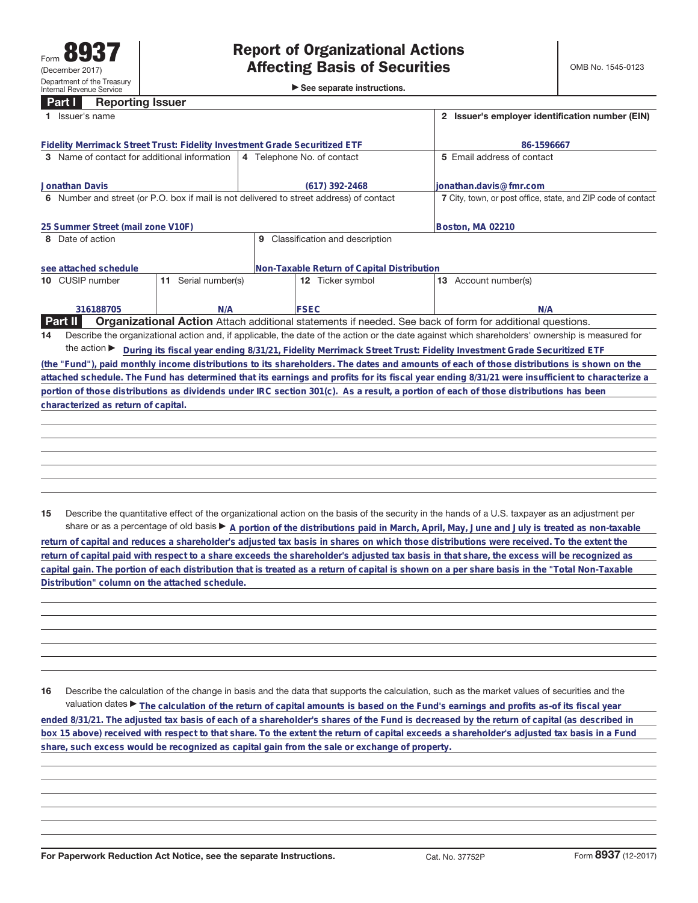**Part I Reporting Issuer**

►<br>► See separate instructions.

|    | Issuer's name                                                                           |                     | 2 Issuer's employer identification number (EIN) |                                                                                                                                                 |  |  |
|----|-----------------------------------------------------------------------------------------|---------------------|-------------------------------------------------|-------------------------------------------------------------------------------------------------------------------------------------------------|--|--|
|    | Fidelity Merrimack Street Trust: Fidelity Investment Grade Securitized ETF              |                     | 86-1596667                                      |                                                                                                                                                 |  |  |
|    | 3 Name of contact for additional information                                            |                     | 4 Telephone No. of contact                      | 5 Email address of contact                                                                                                                      |  |  |
|    | <b>Jonathan Davis</b>                                                                   |                     | (617) 392-2468                                  | lionathan.davis@fmr.com                                                                                                                         |  |  |
|    | 6 Number and street (or P.O. box if mail is not delivered to street address) of contact |                     |                                                 | 7 City, town, or post office, state, and ZIP code of contact                                                                                    |  |  |
|    | 25 Summer Street (mail zone V10F)                                                       |                     |                                                 | Boston, MA 02210                                                                                                                                |  |  |
|    | 8 Date of action                                                                        |                     | 9 Classification and description                |                                                                                                                                                 |  |  |
|    | see attached schedule                                                                   |                     | Non-Taxable Return of Capital Distribution      |                                                                                                                                                 |  |  |
|    | 10 CUSIP number                                                                         | 11 Serial number(s) | 12 Ticker symbol                                | 13 Account number(s)                                                                                                                            |  |  |
|    | 316188705                                                                               | N/A                 | <b>FSEC</b>                                     | N/A                                                                                                                                             |  |  |
|    | <b>Part II</b>                                                                          |                     |                                                 | <b>Organizational Action</b> Attach additional statements if needed. See back of form for additional questions.                                 |  |  |
| 14 |                                                                                         |                     |                                                 | Describe the organizational action and, if applicable, the date of the action or the date against which shareholders' ownership is measured for |  |  |
|    | the action $\blacktriangleright$                                                        |                     |                                                 | During its fiscal year ending 8/31/21, Fidelity Merrimack Street Trust: Fidelity Investment Grade Securitized ETF                               |  |  |
|    |                                                                                         |                     |                                                 | (the "Fund"), paid monthly income distributions to its shareholders. The dates and amounts of each of those distributions is shown on the       |  |  |
|    |                                                                                         |                     |                                                 | attached schedule. The Fund has determined that its earnings and profits for its fiscal year ending 8/31/21 were insufficient to characterize a |  |  |
|    |                                                                                         |                     |                                                 | portion of those distributions as dividends under IRC section 301(c). As a result, a portion of each of those distributions has been            |  |  |
|    | characterized as return of capital.                                                     |                     |                                                 |                                                                                                                                                 |  |  |
|    |                                                                                         |                     |                                                 |                                                                                                                                                 |  |  |
|    |                                                                                         |                     |                                                 |                                                                                                                                                 |  |  |
|    |                                                                                         |                     |                                                 |                                                                                                                                                 |  |  |
|    |                                                                                         |                     |                                                 |                                                                                                                                                 |  |  |

**15** Describe the quantitative effect of the organizational action on the basis of the security in the hands of a U.S. taxpayer as an adjustment per share or as a percentage of old basis  $\blacktriangleright$  A portion of the distributions paid in March, April, May, June and July is treated as non-taxable

**return of capital and reduces a shareholder's adjusted tax basis in shares on which those distributions were received. To the extent the return of capital paid with respect to a share exceeds the shareholder's adjusted tax basis in that share, the excess will be recognized as capital gain. The portion of each distribution that is treated as a return of capital is shown on a per share basis in the "Total Non-Taxable Distribution" column on the attached schedule.**

**16** Describe the calculation of the change in basis and the data that supports the calculation, such as the market values of securities and the valuation dates ▶ The calculation of the return of capital amounts is based on the Fund's earnings and profits as-of its fiscal year **ended 8/31/21. The adjusted tax basis of each of a shareholder's shares of the Fund is decreased by the return of capital (as described in box 15 above) received with respect to that share. To the extent the return of capital exceeds a shareholder's adjusted tax basis in a Fund share, such excess would be recognized as capital gain from the sale or exchange of property.**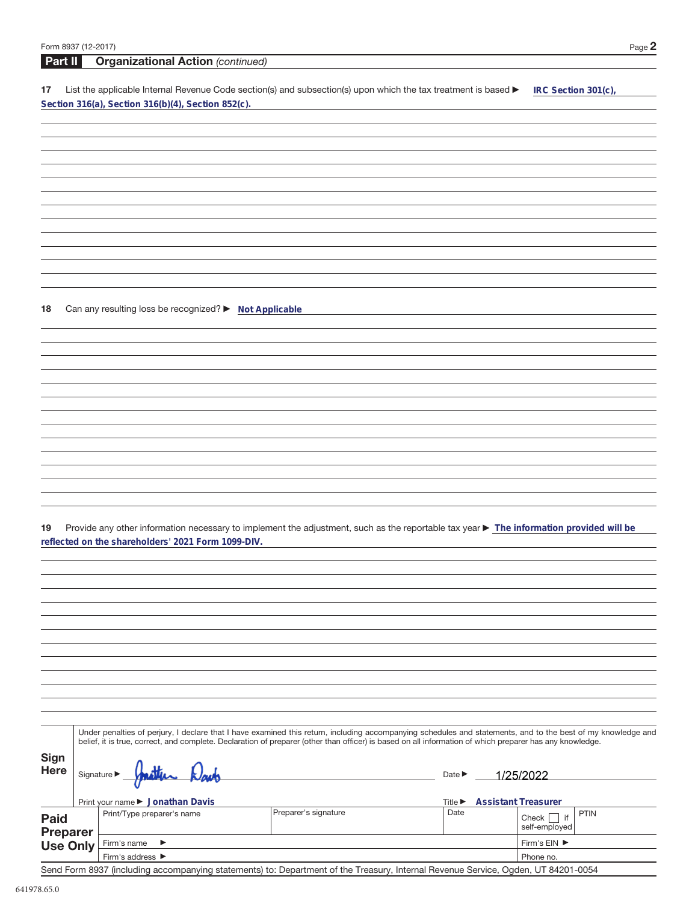| Form 8937 (12-2017)                |                                                        |                                                                                                                                                              |                             |                            |                     | Page 2      |
|------------------------------------|--------------------------------------------------------|--------------------------------------------------------------------------------------------------------------------------------------------------------------|-----------------------------|----------------------------|---------------------|-------------|
| Part II                            | <b>Organizational Action (continued)</b>               |                                                                                                                                                              |                             |                            |                     |             |
| 17                                 |                                                        | List the applicable Internal Revenue Code section(s) and subsection(s) upon which the tax treatment is based ▶                                               |                             |                            | IRC Section 301(c), |             |
|                                    | Section 316(a), Section 316(b)(4), Section 852(c).     |                                                                                                                                                              |                             |                            |                     |             |
|                                    |                                                        |                                                                                                                                                              |                             |                            |                     |             |
|                                    |                                                        |                                                                                                                                                              |                             |                            |                     |             |
|                                    |                                                        |                                                                                                                                                              |                             |                            |                     |             |
|                                    |                                                        |                                                                                                                                                              |                             |                            |                     |             |
|                                    |                                                        |                                                                                                                                                              |                             |                            |                     |             |
|                                    |                                                        |                                                                                                                                                              |                             |                            |                     |             |
|                                    |                                                        |                                                                                                                                                              |                             |                            |                     |             |
|                                    |                                                        |                                                                                                                                                              |                             |                            |                     |             |
|                                    |                                                        |                                                                                                                                                              |                             |                            |                     |             |
|                                    |                                                        |                                                                                                                                                              |                             |                            |                     |             |
|                                    |                                                        |                                                                                                                                                              |                             |                            |                     |             |
|                                    |                                                        |                                                                                                                                                              |                             |                            |                     |             |
|                                    |                                                        |                                                                                                                                                              |                             |                            |                     |             |
| 18                                 | Can any resulting loss be recognized? > Not Applicable |                                                                                                                                                              |                             |                            |                     |             |
|                                    |                                                        |                                                                                                                                                              |                             |                            |                     |             |
|                                    |                                                        |                                                                                                                                                              |                             |                            |                     |             |
|                                    |                                                        |                                                                                                                                                              |                             |                            |                     |             |
|                                    |                                                        |                                                                                                                                                              |                             |                            |                     |             |
|                                    |                                                        |                                                                                                                                                              |                             |                            |                     |             |
|                                    |                                                        |                                                                                                                                                              |                             |                            |                     |             |
|                                    |                                                        |                                                                                                                                                              |                             |                            |                     |             |
|                                    |                                                        |                                                                                                                                                              |                             |                            |                     |             |
|                                    |                                                        |                                                                                                                                                              |                             |                            |                     |             |
|                                    |                                                        |                                                                                                                                                              |                             |                            |                     |             |
|                                    |                                                        |                                                                                                                                                              |                             |                            |                     |             |
|                                    |                                                        |                                                                                                                                                              |                             |                            |                     |             |
|                                    |                                                        |                                                                                                                                                              |                             |                            |                     |             |
|                                    |                                                        |                                                                                                                                                              |                             |                            |                     |             |
| 19                                 |                                                        | Provide any other information necessary to implement the adjustment, such as the reportable tax year > The information provided will be                      |                             |                            |                     |             |
|                                    | reflected on the shareholders' 2021 Form 1099-DIV.     |                                                                                                                                                              |                             |                            |                     |             |
|                                    |                                                        |                                                                                                                                                              |                             |                            |                     |             |
|                                    |                                                        |                                                                                                                                                              |                             |                            |                     |             |
|                                    |                                                        |                                                                                                                                                              |                             |                            |                     |             |
|                                    |                                                        |                                                                                                                                                              |                             |                            |                     |             |
|                                    |                                                        |                                                                                                                                                              |                             |                            |                     |             |
|                                    |                                                        |                                                                                                                                                              |                             |                            |                     |             |
|                                    |                                                        |                                                                                                                                                              |                             |                            |                     |             |
|                                    |                                                        |                                                                                                                                                              |                             |                            |                     |             |
|                                    |                                                        |                                                                                                                                                              |                             |                            |                     |             |
|                                    |                                                        |                                                                                                                                                              |                             |                            |                     |             |
|                                    |                                                        |                                                                                                                                                              |                             |                            |                     |             |
|                                    |                                                        |                                                                                                                                                              |                             |                            |                     |             |
|                                    |                                                        | Under penalties of perjury, I declare that I have examined this return, including accompanying schedules and statements, and to the best of my knowledge and |                             |                            |                     |             |
|                                    |                                                        | belief, it is true, correct, and complete. Declaration of preparer (other than officer) is based on all information of which preparer has any knowledge.     |                             |                            |                     |             |
| Sign                               |                                                        |                                                                                                                                                              |                             |                            |                     |             |
| <b>Here</b>                        | Signature $\blacktriangleright$                        |                                                                                                                                                              | Date $\blacktriangleright$  |                            | 1/25/2022           |             |
|                                    |                                                        |                                                                                                                                                              |                             |                            |                     |             |
|                                    | Print your name ▶ Jonathan Davis                       |                                                                                                                                                              | Title $\blacktriangleright$ | <b>Assistant Treasurer</b> |                     |             |
|                                    | Print/Type preparer's name                             | Preparer's signature                                                                                                                                         | Date                        |                            | Check<br>$ $ if     | <b>PTIN</b> |
| <b>Paid</b>                        |                                                        |                                                                                                                                                              |                             |                            | self-employed       |             |
| <b>Preparer</b><br><b>Use Only</b> | Firm's name<br>▶                                       |                                                                                                                                                              |                             |                            | Firm's EIN ▶        |             |
|                                    |                                                        |                                                                                                                                                              |                             |                            |                     |             |

Send Form 8937 (including accompanying statements) to: Department of the Treasury, Internal Revenue Service, Ogden, UT 84201-0054

Phone no.

Firm's address  $\blacktriangleright$